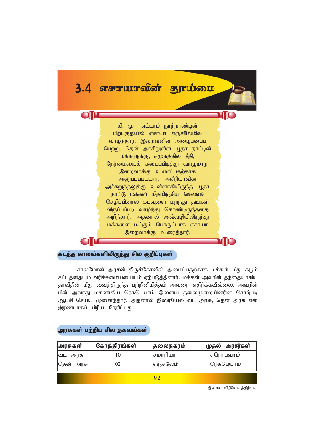

# கடந்த காலங்களிலிருந்து சில குறிப்புகள்

சாலமோன் அாசன் திருக்கோவில் அமைப்பகற்காக மக்கள் மீது கடும் சட்டத்தையும் வரிச்சுமையயையும் ஏற்படுத்தினார். மக்கள் அவரின் தந்தையாகிய தாவீதின் மீது வைத்திருந்த பற்றினிமித்தம் அவரை எதிர்க்கவில்லை. அவரின் பின் அவரது மகனாகிய ரெகபெயாம் இளைய தலைமுறையினரின் சொற்படி ஆட்சி செய்ய முனைந்தார். அதனால் இஸ்ரயேல் வட அரசு, தென் அரசு என இரண்டாகப் பிரிய நேரிட்டது.

## அரசுகள் பற்றிய சில தகவல்கள்

| அரசுகள்      | கோத்திரங்கள் | தலைநகரம் | முதல் அரசர்கள் |
|--------------|--------------|----------|----------------|
| வட அரசு      | 10           | சமாரியா  | எரொபவாம்       |
| கென்<br>அரசு | 02           | எருசலேம் | ரெகபெயாம்      |
|              |              |          |                |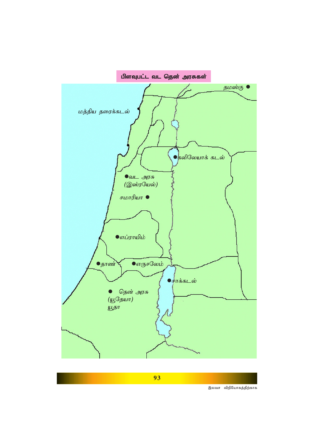

**93**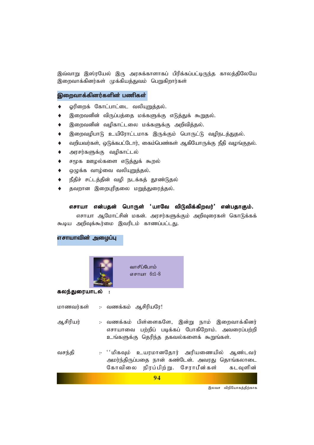இவ்வாறு இஸ்ரயேல் இரு அரசுக்காளாகப் பிரிக்கப்பட்டிருந்த காலத்திலேயே இறைவாக்கினர்கள் முக்கியத்துவம் பெறுகிறார்கள்

## இறைவாக்கினர்களின் பணிகள்

- ஓரிறைக் கோட்பாட்டை வலியுறுத்தல்.  $\ddot{\bullet}$
- இறைவனின் விருப்பத்தை மக்களுக்கு எடுத்துக் கூறுதல்.  $\blacklozenge$
- இறைவனின் வமிகாட்டலை மக்களுக்கு அறிவிக்கல்.  $\ddot{\bullet}$
- இறைவழிபாடு உயிரோட்டமாக இருக்கும் பொருட்டு வழிநடத்துதல்.  $\bullet$
- வறியவர்கள், ஒடுக்கபட்டோர், கைம்பெண்கள் ஆகியோருக்கு நீதி வழங்குதல்.  $\blacklozenge$
- அரசர்களுக்கு வழிகாட்டல்  $\blacklozenge$
- சமூக ஊழல்களை எடுத்துக் கூறல்  $\blacklozenge$
- ஒழுக்க வாழ்வை வலியுறுத்தல்.
- நீதிச் சட்டத்தின் வழி நடக்கத் தூண்டுதல்
- தவறான இறைபுரிதலை மறுத்துரைத்தல்.

### எசாயா என்பதன் பொருள் 'யாவே விடுவிக்கிறவர்' என்பதாகும்.

எசாயா ஆமோட்சின் மகன். அரசர்களுக்கும் அறிவுரைகள் கொடுக்கக் கூடிய அறிவுக்கூர்மை இவரிடம் காணப்பட்டது.

எசாயாவின் அமைப்பு



#### கலந்துரையாடல்

- மாணவர்கள் :- வணக்கம் ஆசிரியரே!
- ஆசிரியர் :- வணக்கம் பிள்ளைகளே, இன்று நாம் இறைவாக்கினர் எசாயாவை பற்றிப் படிக்கப் போகிறோம். அவரைப்பற்றி உங்களுக்கு தெரிந்த தகவல்களைக் கூறுங்கள்.
- :- ''மிகவும் உயரமானதோர் அரியணையில் ஆண்டவர் வசந்தி அமர்ந்திருப்பதை நான் கண்டேன். அவரது தொங்கலாடை கோவிலை நிரப்பிற்று. சேராபீன்கள் கடவளின்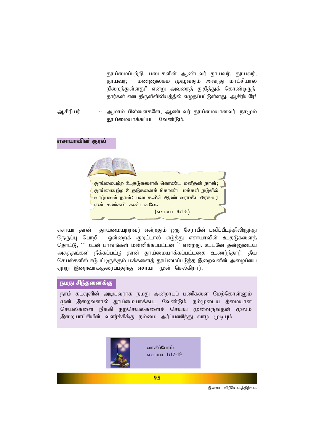தூய்மைப்பற்றி, படைகளின் ஆண்டவர் தூயவர், தூயவர், தூயவர்; மண்ணுலகம் முழுவதும் அவரது மாட்சியால் நிறைந்துள்ளது" என்று அவரைத் துதித்துக் கொண்டிருந்-தார்கள் என திருவிவிலியத்தில் எழுதப்பட்டுள்ளது, ஆசிரியரே!

ஆசிரியர் :- ஆமாம் பிள்ளைகளே, ஆண்டவர் தூய்மையானவர். நாமும் தூய்மையாக்கப்பட வேண்டும்.

#### எசாயாவின் குரல்

தூய்மையற்ற உதடுகளைக் கொண்ட மனிதன் நான் தூய்மையற்ற உதடுகளைக் கொண்ட மக்கள் நடுவில் வாழ்பவன் நான்; படைகளின் ஆண்டவராகிய அரசரை என் கண்கள் கண்டனவே.  $(\sigma$ சாயா 6:1-5)

எசாயா தான் தூய்மையற்றவர் என்றதும் ஒரு சேராபீன் பலிப்பீடத்திலிருந்து நெருப்பு பொறி ஒன்றைக் குறட்டால் எடுத்து எசாயாவின் உதடுகளைத் தொட்டு, '' உன் பாவங்கள் மன்னிக்கப்பட்டன '' என்றது. உடனே தன்னுடைய அசுத்தங்கள் நீக்கப்பட்டு தான் தூய்மையாக்கப்பட்டதை உணர்ந்தார். தீய செயல்களில் ஈடுபட்டிருக்கும் மக்களைத் தூய்மைப்படுத்த இறைவனின் அழைப்பை ஏற்று இறைவாக்குரைப்பதற்கு எசாயா முன் செல்கிறார்.

### நமது சிந்தனைக்கு

நாம் கடவுளின் அடியவராக நமது அன்றாடப் பணிகளை மேற்கொள்ளும் முன் இறைவனால் தூய்மையாக்கபட வேண்டும். நம்முடைய தீமையான செயல்களை நீக்கி நற்செயல்களைச் செய்ய முன்வருவதன் மூலம் இறையாட்சியின் வளர்ச்சிக்கு நம்மை அர்ப்பணித்து வாழ முடியும்.



வாசீப்போம் எசாயா 1:17-19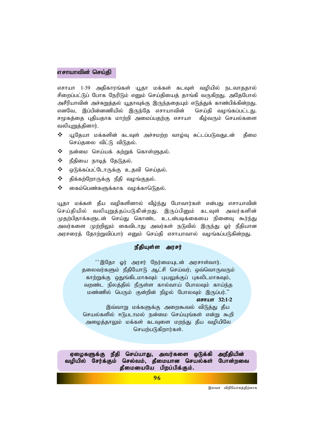### எசாயாவின் செய்தி

எசாயா 1-39 அதிகாரங்கள் யூதா மக்கள் கடவுள் வழியில் நடவாததால் சிறைப்பட்டுப் போக நேரிடும் எனும் செய்தியைத் தாங்கி வருகிறது. அதேபோல் அசீரியாவின் அச்சுறுத்தல் யூதாவுக்கு இருந்ததையும் எடுத்துக் காண்பிக்கின்றது. எனவே, இப்பின்னணியில் இருந்தே எசாயாவின் செய்தி வழங்கப்பட்டது. சமூகத்தை புதியதாக மாற்றி அமைப்பதற்கு எசாயா கீழ்வரும் செயல்களை வலியுறுக்கினார்.

- $\boldsymbol{\hat{v}}$  யூதேயா மக்களின் கடவுள் அச்சமற்ற வாழ்வு சுட்டப்படுவதுடன் தீமை செய்தலை விட்டு விடுதல்.
- $\Leftrightarrow$  நன்மை செய்யக் கற்றுக் கொள்ளுதல்.
- $\Leftrightarrow$  நீதியை நாடித் தேடுதல்.
- $\clubsuit$  ஒடுக்கப்பட்டோருக்கு உதவி செய்தல்.
- $\clubsuit$  திக்கற்றோருக்கு நீதி வழங்குதல்.
- $\clubsuit$  வைம்பெண்களுக்காக வழக்காடுெதல்.

யூதா மக்கள் தீய வழிகளினால் வீழ்ந்து போவார்கள் என்பது எசாயாவின் செய்தியில் வலியுறுத்தப்படுகின்றது. இருப்பினும் கடவுள் அவர்களின் முதற்பிதாக்களுடன் செய்து கொண்ட உடன்படிக்கையை நினைவு கூர்ந்து அவர்களை முற்றிலும் கைவிடாது அவர்கள் நடுவில் இருந்து **ஓர் நீதியான** அரசரைத் தோற்றுவிப்பார் எனும் செய்தி எசாயாவால் வழங்கப்படுகின்றது.

### *ePjpAs;s muru; ePjpAs;s*

 $~\cdot$ ^இதோ ஓர் அரசர் நேர்மையுடன் அரசாள்வார். தலைவர்களும் நீதியோடு ஆட்சி செய்வர்; ஒவ்வொருவரும் காற்றுக்கு ஒதுங்கிடமாகவும் புயலுக்குப் புகலிடமாகவும், வறண்ட நிலத்தில் நீருள்ள கால்வாய் போலவும் காய்ந்த *kz;zpy; ngUk; Fd;wpd; epoy; NghyTk; ,Ug;gu;.||*

# எசாயா 32:1-2

இவ்வாறு மக்களுக்கு அறைகூவல் விடுத்து தீய செயல்களில் ஈடுபடாமல் நன்மை செய்யுங்கள் என்று கூறி அழைத்தாலும் மக்கள் கடவுளை ம<u>றந்து</u> தீய வழியிலே செயற்படுகிறார்கள்.

ஏழைகளுக்கு நீதி செய்யாது, அவர்களை ஒடுக்கி அநீதியின் வழியில் சேர்க்கும் செல்வம், தீமையான செயல்கள் போன்றவை  $\rho$ தீமையையே பிறப்பிக்கும்.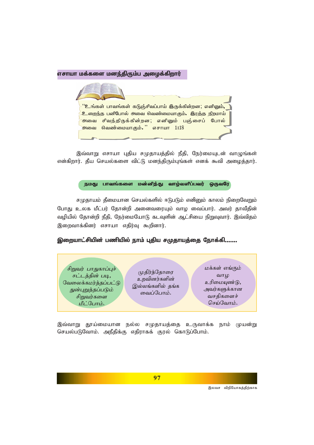### எசாயா மக்களை மனந்திரும்ப அழைக்கிறார்

<sup>''</sup>உங்கள் பாவங்கள் கடுஞ்சிவப்பாய் இருக்கின்றன; எனினும்**,** .<br>உறைந்த பனிபோல் அவை வெண்மையாகும்**.** இரத்த நிறமாய் <sup>்</sup>அவை சிவந்திருக்கின்றன; எனினும் பஞ்சைப் போல் .<br>அவை வெண்மையாகும்**.** " எசாயா 1**:**18

இவ்வாறு எசாயா புதிய சமுதாயத்தில் நீதி, நேர்மையுடன் வாழுங்கள் என்கிறார். தீய செயல்களை விட்டு மனந்திரும்புங்கள் எனக் கூவி அழைத்தார்.

> பாவங்களை மன்னித்து வாழ்வளிப்பவர் நமகு மைவரே

சமுதாயம் தீமையான செயல்களில் ஈடுபடும் எனினும் காலம் நிறைவேறும் போது உலக மீட்பர் தோன்றி அனைவரையும் வாழ வைப்பார். அவர் தாவீதின் வழியில் தோன்றி நீதி, நேர்மையோடு கடவுளின் ஆட்சியை நிறுவுவார். இவ்விதம் இறைவாக்கினர் எசாயா எதிர்வு கூறினார்.

இறையாட்சியின் பணியில் நாம் புதிய சமுதாயத்தை நோக்கி.......



இவ்வாறு தூய்மையான நல்ல சமுதாயத்தை உருவாக்க நாம் முயன்று செயல்படுவோம். அநீதிக்கு எதிராகக் குரல் கொடுப்போம்.